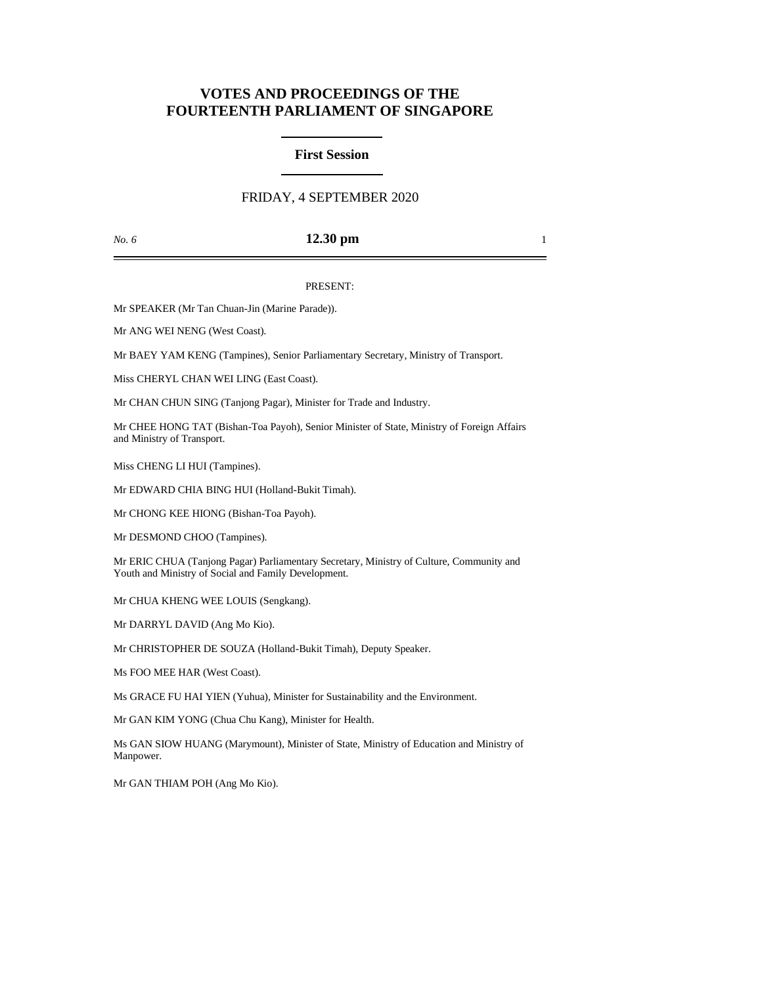# **VOTES AND PROCEEDINGS OF THE FOURTEENTH PARLIAMENT OF SINGAPORE**

### **First Session**

## FRIDAY, 4 SEPTEMBER 2020

#### *No. 6* **12.30 pm** 1

#### PRESENT:

Mr SPEAKER (Mr Tan Chuan-Jin (Marine Parade)).

Mr ANG WEI NENG (West Coast).

Mr BAEY YAM KENG (Tampines), Senior Parliamentary Secretary, Ministry of Transport.

Miss CHERYL CHAN WEI LING (East Coast).

Mr CHAN CHUN SING (Tanjong Pagar), Minister for Trade and Industry.

Mr CHEE HONG TAT (Bishan-Toa Payoh), Senior Minister of State, Ministry of Foreign Affairs and Ministry of Transport.

Miss CHENG LI HUI (Tampines).

Mr EDWARD CHIA BING HUI (Holland-Bukit Timah).

Mr CHONG KEE HIONG (Bishan-Toa Payoh).

Mr DESMOND CHOO (Tampines).

Mr ERIC CHUA (Tanjong Pagar) Parliamentary Secretary, Ministry of Culture, Community and Youth and Ministry of Social and Family Development.

Mr CHUA KHENG WEE LOUIS (Sengkang).

Mr DARRYL DAVID (Ang Mo Kio).

Mr CHRISTOPHER DE SOUZA (Holland-Bukit Timah), Deputy Speaker.

Ms FOO MEE HAR (West Coast).

Ms GRACE FU HAI YIEN (Yuhua), Minister for Sustainability and the Environment.

Mr GAN KIM YONG (Chua Chu Kang), Minister for Health.

Ms GAN SIOW HUANG (Marymount), Minister of State, Ministry of Education and Ministry of Manpower.

Mr GAN THIAM POH (Ang Mo Kio).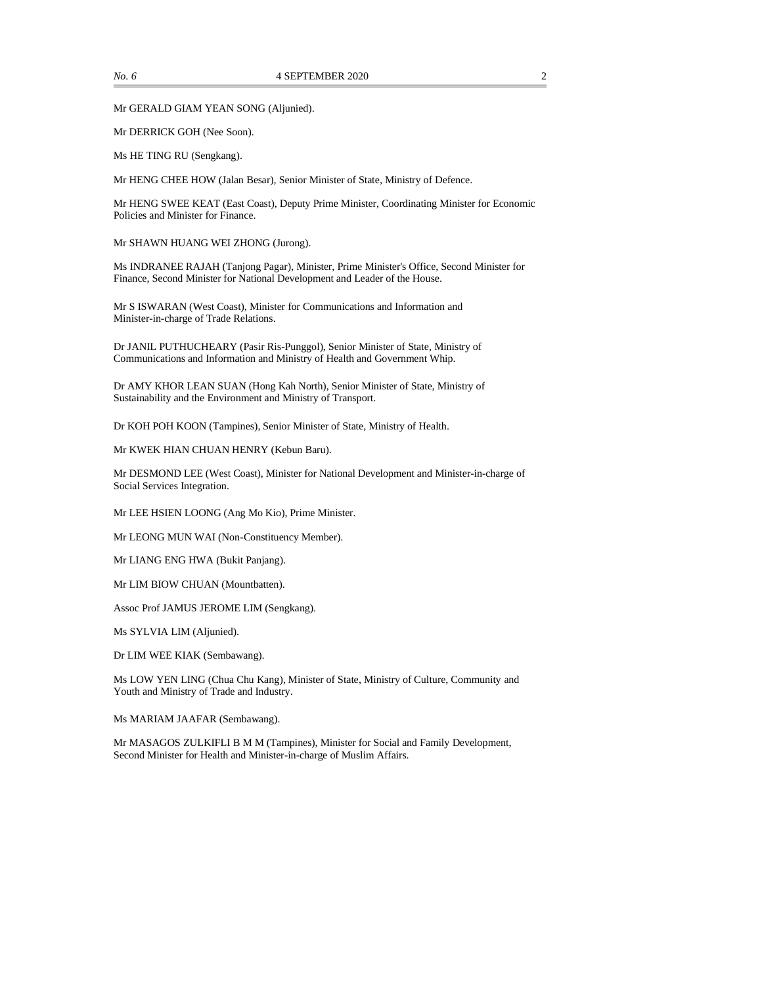Mr GERALD GIAM YEAN SONG (Aljunied).

Mr DERRICK GOH (Nee Soon).

Ms HE TING RU (Sengkang).

Mr HENG CHEE HOW (Jalan Besar), Senior Minister of State, Ministry of Defence.

Mr HENG SWEE KEAT (East Coast), Deputy Prime Minister, Coordinating Minister for Economic Policies and Minister for Finance.

Mr SHAWN HUANG WEI ZHONG (Jurong).

Ms INDRANEE RAJAH (Tanjong Pagar), Minister, Prime Minister's Office, Second Minister for Finance, Second Minister for National Development and Leader of the House.

Mr S ISWARAN (West Coast), Minister for Communications and Information and Minister-in-charge of Trade Relations.

Dr JANIL PUTHUCHEARY (Pasir Ris-Punggol), Senior Minister of State, Ministry of Communications and Information and Ministry of Health and Government Whip.

Dr AMY KHOR LEAN SUAN (Hong Kah North), Senior Minister of State, Ministry of Sustainability and the Environment and Ministry of Transport.

Dr KOH POH KOON (Tampines), Senior Minister of State, Ministry of Health.

Mr KWEK HIAN CHUAN HENRY (Kebun Baru).

Mr DESMOND LEE (West Coast), Minister for National Development and Minister-in-charge of Social Services Integration.

Mr LEE HSIEN LOONG (Ang Mo Kio), Prime Minister.

Mr LEONG MUN WAI (Non-Constituency Member).

Mr LIANG ENG HWA (Bukit Panjang).

Mr LIM BIOW CHUAN (Mountbatten).

Assoc Prof JAMUS JEROME LIM (Sengkang).

Ms SYLVIA LIM (Aljunied).

Dr LIM WEE KIAK (Sembawang).

Ms LOW YEN LING (Chua Chu Kang), Minister of State, Ministry of Culture, Community and Youth and Ministry of Trade and Industry.

Ms MARIAM JAAFAR (Sembawang).

Mr MASAGOS ZULKIFLI B M M (Tampines), Minister for Social and Family Development, Second Minister for Health and Minister-in-charge of Muslim Affairs.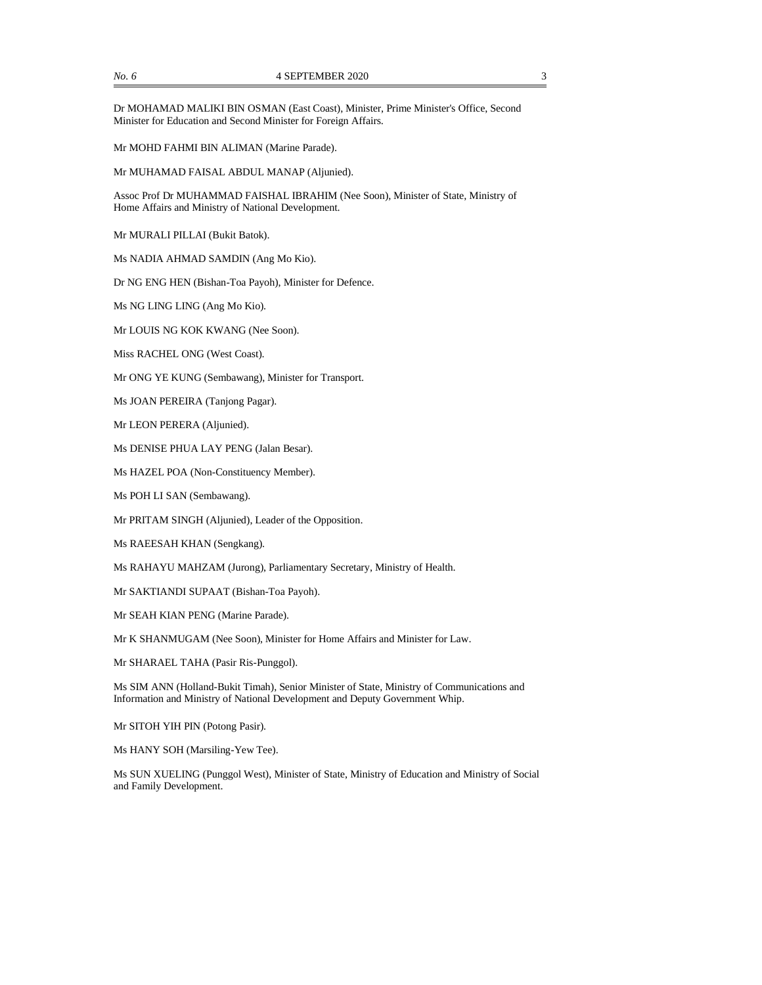Dr MOHAMAD MALIKI BIN OSMAN (East Coast), Minister, Prime Minister's Office, Second Minister for Education and Second Minister for Foreign Affairs.

Mr MOHD FAHMI BIN ALIMAN (Marine Parade).

Mr MUHAMAD FAISAL ABDUL MANAP (Aljunied).

Assoc Prof Dr MUHAMMAD FAISHAL IBRAHIM (Nee Soon), Minister of State, Ministry of Home Affairs and Ministry of National Development.

Mr MURALI PILLAI (Bukit Batok).

Ms NADIA AHMAD SAMDIN (Ang Mo Kio).

Dr NG ENG HEN (Bishan-Toa Payoh), Minister for Defence.

Ms NG LING LING (Ang Mo Kio).

Mr LOUIS NG KOK KWANG (Nee Soon).

Miss RACHEL ONG (West Coast).

Mr ONG YE KUNG (Sembawang), Minister for Transport.

Ms JOAN PEREIRA (Tanjong Pagar).

Mr LEON PERERA (Aljunied).

Ms DENISE PHUA LAY PENG (Jalan Besar).

Ms HAZEL POA (Non-Constituency Member).

Ms POH LI SAN (Sembawang).

Mr PRITAM SINGH (Aljunied), Leader of the Opposition.

Ms RAEESAH KHAN (Sengkang).

Ms RAHAYU MAHZAM (Jurong), Parliamentary Secretary, Ministry of Health.

Mr SAKTIANDI SUPAAT (Bishan-Toa Payoh).

Mr SEAH KIAN PENG (Marine Parade).

Mr K SHANMUGAM (Nee Soon), Minister for Home Affairs and Minister for Law.

Mr SHARAEL TAHA (Pasir Ris-Punggol).

Ms SIM ANN (Holland-Bukit Timah), Senior Minister of State, Ministry of Communications and Information and Ministry of National Development and Deputy Government Whip.

Mr SITOH YIH PIN (Potong Pasir).

Ms HANY SOH (Marsiling-Yew Tee).

Ms SUN XUELING (Punggol West), Minister of State, Ministry of Education and Ministry of Social and Family Development.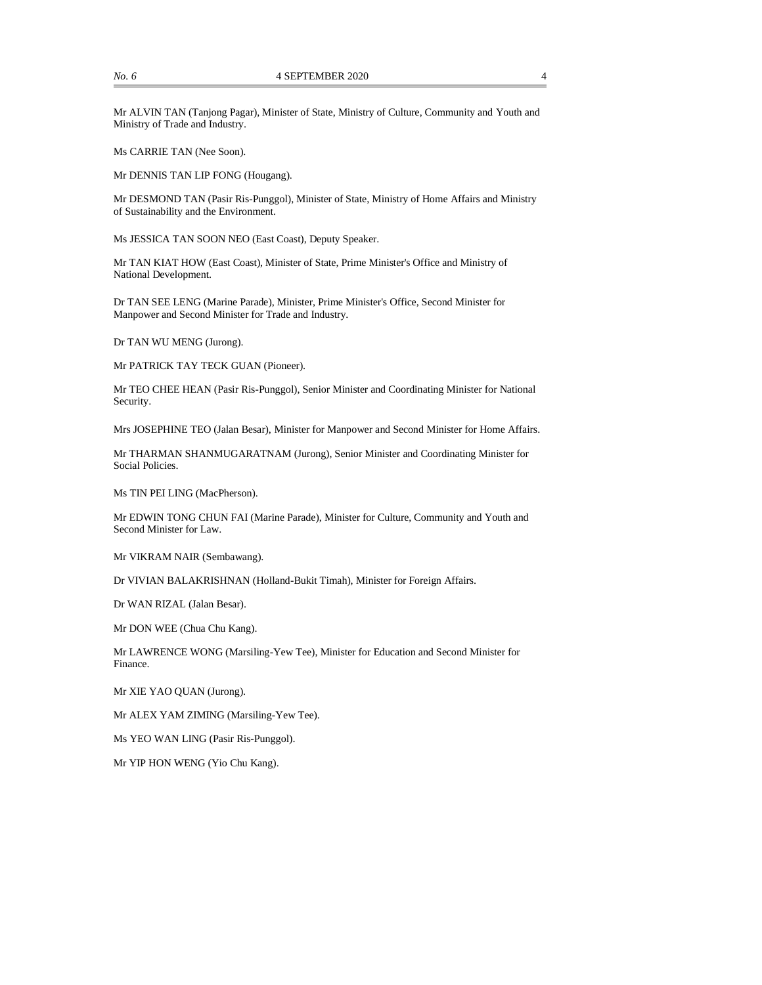Mr ALVIN TAN (Tanjong Pagar), Minister of State, Ministry of Culture, Community and Youth and Ministry of Trade and Industry.

Ms CARRIE TAN (Nee Soon).

Mr DENNIS TAN LIP FONG (Hougang).

Mr DESMOND TAN (Pasir Ris-Punggol), Minister of State, Ministry of Home Affairs and Ministry of Sustainability and the Environment.

Ms JESSICA TAN SOON NEO (East Coast), Deputy Speaker.

Mr TAN KIAT HOW (East Coast), Minister of State, Prime Minister's Office and Ministry of National Development.

Dr TAN SEE LENG (Marine Parade), Minister, Prime Minister's Office, Second Minister for Manpower and Second Minister for Trade and Industry.

Dr TAN WU MENG (Jurong).

Mr PATRICK TAY TECK GUAN (Pioneer).

Mr TEO CHEE HEAN (Pasir Ris-Punggol), Senior Minister and Coordinating Minister for National Security.

Mrs JOSEPHINE TEO (Jalan Besar), Minister for Manpower and Second Minister for Home Affairs.

Mr THARMAN SHANMUGARATNAM (Jurong), Senior Minister and Coordinating Minister for Social Policies.

Ms TIN PEI LING (MacPherson).

Mr EDWIN TONG CHUN FAI (Marine Parade), Minister for Culture, Community and Youth and Second Minister for Law.

Mr VIKRAM NAIR (Sembawang).

Dr VIVIAN BALAKRISHNAN (Holland-Bukit Timah), Minister for Foreign Affairs.

Dr WAN RIZAL (Jalan Besar).

Mr DON WEE (Chua Chu Kang).

Mr LAWRENCE WONG (Marsiling-Yew Tee), Minister for Education and Second Minister for Finance.

Mr XIE YAO QUAN (Jurong).

Mr ALEX YAM ZIMING (Marsiling-Yew Tee).

Ms YEO WAN LING (Pasir Ris-Punggol).

Mr YIP HON WENG (Yio Chu Kang).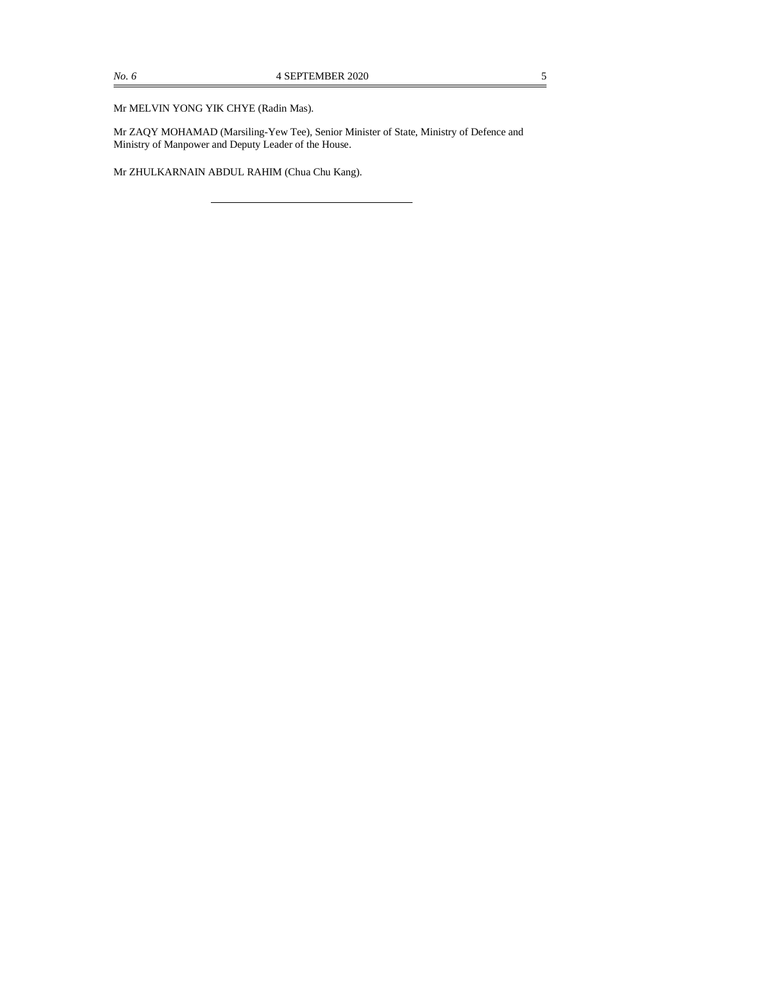Mr MELVIN YONG YIK CHYE (Radin Mas).

Mr ZAQY MOHAMAD (Marsiling-Yew Tee), Senior Minister of State, Ministry of Defence and Ministry of Manpower and Deputy Leader of the House.

Mr ZHULKARNAIN ABDUL RAHIM (Chua Chu Kang).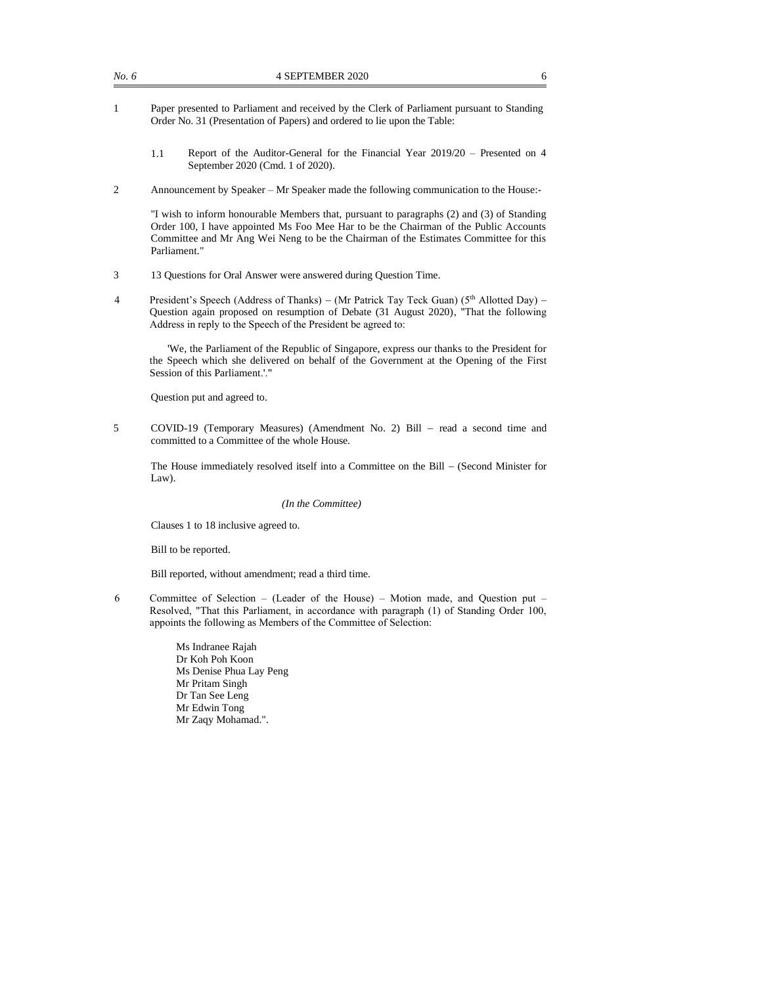- 1 Paper presented to Parliament and received by the Clerk of Parliament pursuant to Standing Order No. 31 (Presentation of Papers) and ordered to lie upon the Table:
	- 1.1 Report of the Auditor-General for the Financial Year 2019/20 Presented on 4 September 2020 (Cmd. 1 of 2020).
- 2 Announcement by Speaker Mr Speaker made the following communication to the House:-

"I wish to inform honourable Members that, pursuant to paragraphs (2) and (3) of Standing Order 100, I have appointed Ms Foo Mee Har to be the Chairman of the Public Accounts Committee and Mr Ang Wei Neng to be the Chairman of the Estimates Committee for this Parliament."

- 3 13 Questions for Oral Answer were answered during Question Time.
- 4 President's Speech (Address of Thanks) (Mr Patrick Tay Teck Guan) (5<sup>th</sup> Allotted Day) Question again proposed on resumption of Debate (31 August 2020), "That the following Address in reply to the Speech of the President be agreed to:

'We, the Parliament of the Republic of Singapore, express our thanks to the President for the Speech which she delivered on behalf of the Government at the Opening of the First Session of this Parliament.'."

Question put and agreed to.

5 COVID-19 (Temporary Measures) (Amendment No. 2) Bill − read a second time and committed to a Committee of the whole House.

The House immediately resolved itself into a Committee on the Bill − (Second Minister for Law).

#### *(In the Committee)*

Clauses 1 to 18 inclusive agreed to.

Bill to be reported.

Bill reported, without amendment; read a third time.

6 Committee of Selection – (Leader of the House) – Motion made, and Question put – Resolved, "That this Parliament, in accordance with paragraph (1) of Standing Order 100, appoints the following as Members of the Committee of Selection:

> Ms Indranee Rajah Dr Koh Poh Koon Ms Denise Phua Lay Peng Mr Pritam Singh Dr Tan See Leng Mr Edwin Tong Mr Zaqy Mohamad.".